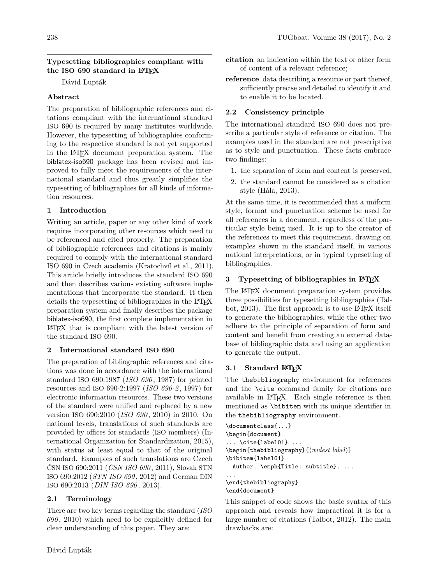## **Typesetting bibliographies compliant with the ISO 690 standard in LATEX**

Dávid Lupták

## **Abstract**

The preparation of bibliographic references and citations compliant with the international standard ISO 690 is required by many institutes worldwide. However, the typesetting of bibliographies conforming to the respective standard is not yet supported in the LATEX document preparation system. The biblatex-iso690 package has been revised and improved to fully meet the requirements of the international standard and thus greatly simplifies the typesetting of bibliographies for all kinds of information resources.

## **1 Introduction**

Writing an article, paper or any other kind of work requires incorporating other resources which need to be referenced and cited properly. The preparation of bibliographic references and citations is mainly required to comply with the international standard ISO 690 in Czech academia (Kratochvíl et al., [2011\)](#page-6-0). This article briefly introduces the standard ISO 690 and then describes various existing software implementations that incorporate the standard. It then details the typesetting of bibliographies in the LAT<sub>EX</sub> preparation system and finally describes the package biblatex-iso690, the first complete implementation in LATEX that is compliant with the latest version of the standard ISO 690.

## **2 International standard ISO 690**

The preparation of bibliographic references and citations was done in accordance with the international standard ISO 690:1987 (*[ISO 690](#page-6-1)* , [1987\)](#page-6-1) for printed resources and ISO 690-2:1997 (*[ISO 690-2](#page-6-2)* , [1997\)](#page-6-2) for electronic information resources. These two versions of the standard were unified and replaced by a new version ISO 690:2010 (*[ISO 690](#page-6-3)* , [2010\)](#page-6-3) in 2010. On national levels, translations of such standards are provided by offices for standards (ISO members) (International Organization for Standardization, [2015\)](#page-6-4), with status at least equal to that of the original standard. Examples of such translations are Czech ČSN ISO 690:2011 (*[ČSN ISO 690](#page-5-0)* , [2011\)](#page-5-0), Slovak STN ISO 690:2012 (*[STN ISO 690](#page-6-5)* , [2012\)](#page-6-5) and German DIN ISO 690:2013 (*[DIN ISO 690](#page-5-1)* , [2013\)](#page-5-1).

# **2.1 Terminology**

There are two key terms regarding the standard (*[ISO](#page-6-3) [690](#page-6-3)* , [2010\)](#page-6-3) which need to be explicitly defined for clear understanding of this paper. They are:

- **citation** an indication within the text or other form of content of a relevant reference;
- **reference** data describing a resource or part thereof, sufficiently precise and detailed to identify it and to enable it to be located.

# **2.2 Consistency principle**

The international standard ISO 690 does not prescribe a particular style of reference or citation. The examples used in the standard are not prescriptive as to style and punctuation. These facts embrace two findings:

- 1. the separation of form and content is preserved,
- 2. the standard cannot be considered as a citation style (Hála, [2013\)](#page-5-2).

At the same time, it is recommended that a uniform style, format and punctuation scheme be used for all references in a document, regardless of the particular style being used. It is up to the creator of the references to meet this requirement, drawing on examples shown in the standard itself, in various national interpretations, or in typical typesetting of bibliographies.

# **3 Typesetting of bibliographies in LATEX**

The LATEX document preparation system provides three possibilities for typesetting bibliographies (Tal-bot, [2013\)](#page-6-6). The first approach is to use LAT<sub>F</sub>X itself to generate the bibliographies, while the other two adhere to the principle of separation of form and content and benefit from creating an external database of bibliographic data and using an application to generate the output.

# **3.1 Standard LATEX**

The thebibliography environment for references and the \cite command family for citations are available in LATEX. Each single reference is then mentioned as \bibitem with its unique identifier in the thebibliography environment.

```
\documentclass{...}
\begin{document}
... \cite{label01} ...
\begin{thebibliography}{\langle \widehat{widest \: label} \rangle}
\bibitem{label01}
  Author. \emph{Title: subtitle}. ...
...
\end{thebibliography}
\end{document}
```
This snippet of code shows the basic syntax of this approach and reveals how impractical it is for a large number of citations (Talbot, [2012\)](#page-6-7). The main drawbacks are: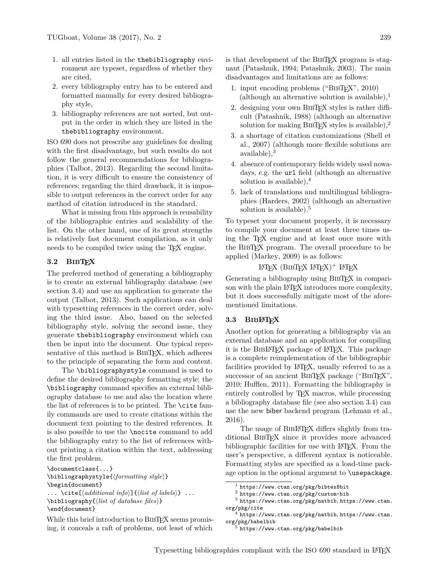- 1. all entries listed in the thebibliography environment are typeset, regardless of whether they are cited,
- 2. every bibliography entry has to be entered and formatted manually for every desired bibliography style,
- 3. bibliography references are not sorted, but output in the order in which they are listed in the thebibliography environment.

ISO 690 does not prescribe any guidelines for dealing with the first disadvantage, but such results do not follow the general recommendations for bibliographies (Talbot, [2013\)](#page-6-6). Regarding the second limitation, it is very difficult to ensure the consistency of references; regarding the third drawback, it is impossible to output references in the correct order for any method of citation introduced in the standard.

What is missing from this approach is reusability of the bibliographic entries and scalability of the list. On the other hand, one of its great strengths is relatively fast document compilation, as it only needs to be compiled twice using the TEX engine.

### **3.2 BIBTEX**

The preferred method of generating a bibliography is to create an external bibliography database (see section [3.4\)](#page-2-0) and use an application to generate the output (Talbot, [2013\)](#page-6-6). Such applications can deal with typesetting references in the correct order, solving the third issue. Also, based on the selected bibliography style, solving the second issue, they generate thebibliography environment which can then be input into the document. One typical representative of this method is BIBTEX, which adheres to the principle of separating the form and content.

The \bibliographystyle command is used to define the desired bibliography formatting style; the \bibliography command specifies an external bibliography database to use and also the location where the list of references is to be printed. The \cite family commands are used to create citations within the document text pointing to the desired references. It is also possible to use the \nocite command to add the bibliography entry to the list of references without printing a citation within the text, addressing the first problem.

```
\documentclass{...}
\bibliographystyle{\formatting style}}
\begin{document}
... \text{cite}[\text{d}{\text{d}}\text{d}{\text{t}}\text{d}{\text{t}}] : \{(list of labels)} ...
\boldsymbol{\delta} \bibliography\{\langle list \ of \ database \ files \rangle\}\end{document}
```
While this brief introduction to BIBTFX seems promising, it conceals a raft of problems, not least of which

is that development of the BIBTEX program is stagnant (Patashnik, [1994;](#page-6-8) Patashnik, [2003\)](#page-6-9). The main disadvantages and limitations are as follows:

- 1. input encoding problems ("BIBT<sub>E</sub>X", 2010) (although an alternative solution is available),<sup>[1](#page-1-0)</sup>
- 2. designing your own BibTEX styles is rather difficult (Patashnik, [1988\)](#page-6-10) (although an alternative solution for making BIBTEX styles is available), $2$
- 3. a shortage of citation customizations (Shell et al., [2007\)](#page-6-11) (although more flexible solutions are available),[3](#page-1-2)
- 4. absence of contemporary fields widely used nowadays, e.g. the url field (although an alternative solution is available),[4](#page-1-3)
- 5. lack of translations and multilingual bibliographies (Harders, [2002\)](#page-5-4) (although an alternative solution is available).<sup>[5](#page-1-4)</sup>

To typeset your document properly, it is necessary to compile your document at least three times using the TEX engine and at least once more with the BibTEX program. The overall procedure to be applied (Markey, [2009\)](#page-6-12) is as follows:

# LATEX  $(BIBTFX IATEX)^+ IATEX$

Generating a bibliography using BIBT<sub>EX</sub> in comparison with the plain L<sup>AT</sup>EX introduces more complexity, but it does successfully mitigate most of the aforementioned limitations.

### <span id="page-1-5"></span>**3.3 BIBLATEX**

Another option for generating a bibliography via an external database and an application for compiling it is the BibLATEX package of LATEX. This package is a complete reimplementation of the bibliographic facilities provided by LAT<sub>F</sub>X, usually referred to as a successor of an ancient BIBTEX package ("BIB[TEX",](#page-5-3) [2010;](#page-5-3) Hufflen, [2011\)](#page-6-13). Formatting the bibliography is entirely controlled by T<sub>EX</sub> macros, while processing a bibliography database file (see also section [3.4\)](#page-2-0) can use the new biber backend program (Lehman et al., [2016\)](#page-6-14).

The usage of BIBLATEX differs slightly from traditional BibTEX since it provides more advanced bibliographic facilities for use with LATEX. From the user's perspective, a different syntax is noticeable. Formatting styles are specified as a load-time package option in the optional argument to \usepackage.

<span id="page-1-0"></span><sup>1</sup> <https://www.ctan.org/pkg/bibtex8bit>

<span id="page-1-2"></span><span id="page-1-1"></span> $<sup>2</sup>$  <https://www.ctan.org/pkg/custom-bib></sup>

<sup>3</sup> <https://www.ctan.org/pkg/natbib>, [https://www.ctan.](https://www.ctan.org/pkg/cite) [org/pkg/cite](https://www.ctan.org/pkg/cite)

<span id="page-1-3"></span><sup>4</sup> <https://www.ctan.org/pkg/natbib>, [https://www.ctan.](https://www.ctan.org/pkg/babelbib) [org/pkg/babelbib](https://www.ctan.org/pkg/babelbib)

<span id="page-1-4"></span> $^5$  <https://www.ctan.org/pkg/babelbib>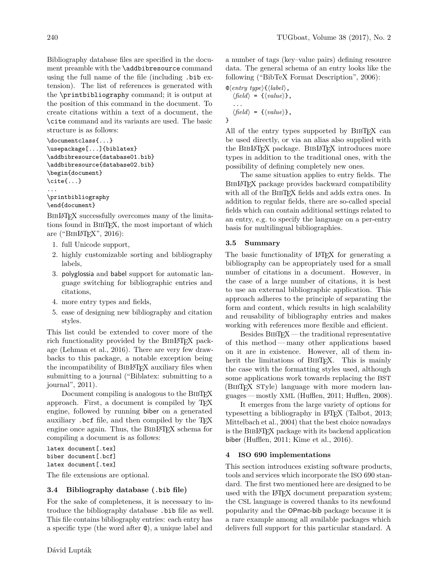Bibliography database files are specified in the document preamble with the \addbibresource command using the full name of the file (including .bib extension). The list of references is generated with the \printbibliography command; it is output at the position of this command in the document. To create citations within a text of a document, the \cite command and its variants are used. The basic structure is as follows:

```
\documentclass{...}
\usepackage[...]{biblatex}
\addbibresource{database01.bib}
\addbibresource{database02.bib}
\begin{document}
\cite{...}
...
\printbibliography
```

```
\end{document}
```
BIBLATEX successfully overcomes many of the limitations found in BibTEX, the most important of which are (" $BIBIPTEX"$ , 2016):

- 1. full Unicode support,
- 2. highly customizable sorting and bibliography labels,
- 3. polyglossia and babel support for automatic language switching for bibliographic entries and citations,
- 4. more entry types and fields,
- 5. ease of designing new bibliography and citation styles.

This list could be extended to cover more of the rich functionality provided by the BIBL<sup>AT</sup>EX package (Lehman et al., [2016\)](#page-6-14). There are very few drawbacks to this package, a notable exception being the incompatibility of BIBLATEX auxiliary files when submitting to a journal [\("Biblatex: submitting to a](#page-5-6) [journal", 2011\)](#page-5-6).

Document compiling is analogous to the BIBT<sub>EX</sub> approach. First, a document is compiled by TEX engine, followed by running biber on a generated auxiliary . bcf file, and then compiled by the T<sub>EX</sub> engine once again. Thus, the BIBLATEX schema for compiling a document is as follows:

```
latex document[.tex]
biber document[.bcf]
latex document[.tex]
```
The file extensions are optional.

### <span id="page-2-0"></span>**3.4 Bibliography database (.bib file)**

For the sake of completeness, it is necessary to introduce the bibliography database .bib file as well. This file contains bibliography entries: each entry has a specific type (the word after @), a unique label and

a number of tags (key–value pairs) defining resource data. The general schema of an entry looks like the following [\("BibTeX Format Description", 2006\)](#page-5-7):

$$
\mathbb{Q}\langle entry\ type\rangle\{\langle label\rangle\},\langle field\rangle = \{\langle value\rangle\},\
$$

$$
\therefore\text{field}\rangle = \{\langle value\rangle\},\
$$

}

All of the entry types supported by BIBTEX can be used directly, or via an alias also supplied with the BibLATEX package. BibLATEX introduces more types in addition to the traditional ones, with the possibility of defining completely new ones.

The same situation applies to entry fields. The BIBL<sup>AT</sup>EX package provides backward compatibility with all of the BIBTEX fields and adds extra ones. In addition to regular fields, there are so-called special fields which can contain additional settings related to an entry, e.g. to specify the language on a per-entry basis for multilingual bibliographies.

### **3.5 Summary**

The basic functionality of LAT<sub>EX</sub> for generating a bibliography can be appropriately used for a small number of citations in a document. However, in the case of a large number of citations, it is best to use an external bibliographic application. This approach adheres to the principle of separating the form and content, which results in high scalability and reusability of bibliography entries and makes working with references more flexible and efficient.

Besides BIBTEX — the traditional representative of this method— many other applications based on it are in existence. However, all of them inherit the limitations of BibTEX. This is mainly the case with the formatting styles used, although some applications work towards replacing the BST (BibTEX STyle) language with more modern languages — mostly XML (Hufflen, [2011;](#page-6-13) Hufflen, [2008\)](#page-5-8).

It emerges from the large variety of options for typesetting a bibliography in LATEX (Talbot, [2013;](#page-6-6) Mittelbach et al., [2004\)](#page-6-15) that the best choice nowadays is the BibLATEX package with its backend application biber (Hufflen, [2011;](#page-6-13) Kime et al., [2016\)](#page-6-16).

### **4 ISO 690 implementations**

This section introduces existing software products, tools and services which incorporate the ISO 690 standard. The first two mentioned here are designed to be used with the IATEX document preparation system; the CSL language is covered thanks to its newfound popularity and the OPmac-bib package because it is a rare example among all available packages which delivers full support for this particular standard. A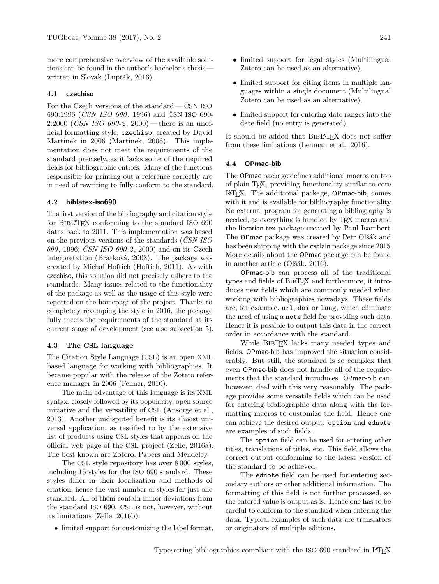more comprehensive overview of the available solutions can be found in the author's bachelor's thesis written in Slovak (Lupták, [2016\)](#page-6-17).

#### **4.1 czechiso**

For the Czech versions of the standard— ČSN ISO 690:1996 (*[ČSN ISO 690](#page-5-9)* , [1996\)](#page-5-9) and ČSN ISO 690- 2:2000 (*[ČSN ISO 690-2](#page-5-10)* , [2000\)](#page-5-10)— there is an unofficial formatting style, czechiso, created by David Martinek in 2006 (Martinek, [2006\)](#page-6-18). This implementation does not meet the requirements of the standard precisely, as it lacks some of the required fields for bibliographic entries. Many of the functions responsible for printing out a reference correctly are in need of rewriting to fully conform to the standard.

#### **4.2 biblatex-iso690**

The first version of the bibliography and citation style for BibLATEX conforming to the standard ISO 690 dates back to 2011. This implementation was based on the previous versions of the standards (*[ČSN ISO](#page-5-9) [690](#page-5-9)* , [1996;](#page-5-9) *[ČSN ISO 690-2](#page-5-10)* , [2000\)](#page-5-10) and on its Czech interpretation (Bratková, [2008\)](#page-5-11). The package was created by Michal Hoftich (Hoftich, [2011\)](#page-5-12). As with czechiso, this solution did not precisely adhere to the standards. Many issues related to the functionality of the package as well as the usage of this style were reported on the homepage of the project. Thanks to completely revamping the style in 2016, the package fully meets the requirements of the standard at its current stage of development (see also subsection [5\)](#page-4-0).

#### **4.3 The CSL language**

The Citation Style Language (CSL) is an open XML based language for working with bibliographies. It became popular with the release of the Zotero reference manager in 2006 (Fenner, [2010\)](#page-5-13).

The main advantage of this language is its XML syntax, closely followed by its popularity, open source initiative and the versatility of CSL (Ansorge et al., [2013\)](#page-5-14). Another undisputed benefit is its almost universal application, as testified to by the extensive list of products using CSL styles that appears on the official web page of the CSL project (Zelle, [2016a\)](#page-6-19). The best known are Zotero, Papers and Mendeley.

The CSL style repository has over 8 000 styles, including 15 styles for the ISO 690 standard. These styles differ in their localization and methods of citation, hence the vast number of styles for just one standard. All of them contain minor deviations from the standard ISO 690. CSL is not, however, without its limitations (Zelle, [2016b\)](#page-6-20):

• limited support for customizing the label format,

- limited support for legal styles (Multilingual Zotero can be used as an alternative),
- limited support for citing items in multiple languages within a single document (Multilingual Zotero can be used as an alternative),
- limited support for entering date ranges into the date field (no entry is generated).

It should be added that BIBLATEX does not suffer from these limitations (Lehman et al., [2016\)](#page-6-14).

#### **4.4 OPmac-bib**

The OPmac package defines additional macros on top of plain TEX, providing functionality similar to core LATEX. The additional package, OPmac-bib, comes with it and is available for bibliography functionality. No external program for generating a bibliography is needed, as everything is handled by T<sub>F</sub>X macros and the librarian.tex package created by Paul Isambert. The OPmac package was created by Petr Olšák and has been shipping with the csplain package since 2015. More details about the OPmac package can be found in another article (Olšák, [2016\)](#page-6-21).

OPmac-bib can process all of the traditional types and fields of BibTEX and furthermore, it introduces new fields which are commonly needed when working with bibliographies nowadays. These fields are, for example, url, doi or lang, which eliminate the need of using a note field for providing such data. Hence it is possible to output this data in the correct order in accordance with the standard.

While BIBTEX lacks many needed types and fields, OPmac-bib has improved the situation considerably. But still, the standard is so complex that even OPmac-bib does not handle all of the requirements that the standard introduces. OPmac-bib can, however, deal with this very reasonably. The package provides some versatile fields which can be used for entering bibliographic data along with the formatting macros to customize the field. Hence one can achieve the desired output: option and ednote are examples of such fields.

The option field can be used for entering other titles, translations of titles, etc. This field allows the correct output conforming to the latest version of the standard to be achieved.

The ednote field can be used for entering secondary authors or other additional information. The formatting of this field is not further processed, so the entered value is output as is. Hence one has to be careful to conform to the standard when entering the data. Typical examples of such data are translators or originators of multiple editions.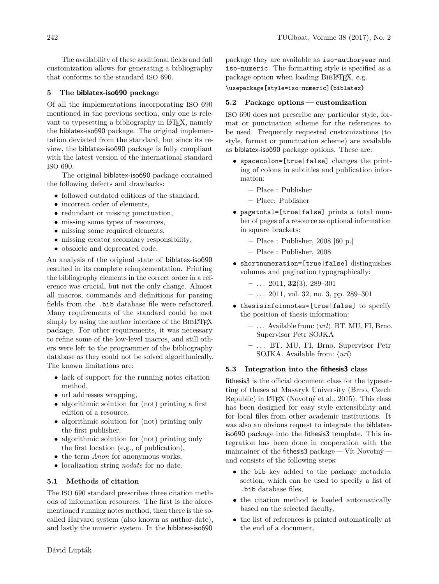The availability of these additional fields and full customization allows for generating a bibliography that conforms to the standard ISO 690.

## <span id="page-4-0"></span>**5 The biblatex-iso690 package**

Of all the implementations incorporating ISO 690 mentioned in the previous section, only one is relevant to typesetting a bibliography in LAT<sub>EX</sub>, namely the biblatex-iso690 package. The original implementation deviated from the standard, but since its review, the biblatex-iso690 package is fully compliant with the latest version of the international standard ISO 690.

The original biblatex-iso690 package contained the following defects and drawbacks:

- followed outdated editions of the standard,
- incorrect order of elements.
- redundant or missing punctuation,
- missing some types of resources,
- missing some required elements,
- missing creator secondary responsibility,
- obsolete and deprecated code.

An analysis of the original state of biblatex-iso690 resulted in its complete reimplementation. Printing the bibliography elements in the correct order in a reference was crucial, but not the only change. Almost all macros, commands and definitions for parsing fields from the .bib database file were refactored. Many requirements of the standard could be met simply by using the author interface of the BIBLATEX package. For other requirements, it was necessary to refine some of the low-level macros, and still others were left to the programmer of the bibliography database as they could not be solved algorithmically. The known limitations are:

- lack of support for the running notes citation method,
- url addresses wrapping,
- algorithmic solution for (not) printing a first edition of a resource,
- algorithmic solution for (not) printing only the first publisher,
- algorithmic solution for (not) printing only the first location (e.g., of publication),
- the term *Anon* for anonymous works,
- localization string *nodate* for no date.

## **5.1 Methods of citation**

The ISO 690 standard prescribes three citation methods of information resources. The first is the aforementioned running notes method, then there is the socalled Harvard system (also known as author-date), and lastly the numeric system. In the biblatex-iso690

package they are available as iso-authoryear and iso-numeric. The formatting style is specified as a package option when loading BIBL<sup>AT</sup>EX, e.g.

\usepackage[style=iso-numeric]{biblatex}

## **5.2 Package options — customization**

ISO 690 does not prescribe any particular style, format or punctuation scheme for the references to be used. Frequently requested customizations (to style, format or punctuation scheme) are available as biblatex-iso690 package options. These are:

- spacecolon=[true|false] changes the printing of colons in subtitles and publication information:
	- **–** Place : Publisher
	- **–** Place: Publisher
- pagetotal=[true|false] prints a total number of pages of a resource as optional information in square brackets:
	- **–** Place : Publisher, 2008 [60 p.]
	- **–** Place : Publisher, 2008
- shortnumeration=[true|false] distinguishes volumes and pagination typographically:
	- **–** . . . 2011, **32**(3), 289–301
	- **–** . . . 2011, vol. 32, no. 3, pp. 289–301
- thesisinfoinnotes=[true|false] to specify the position of thesis information:
	- **–** . . . Available from: h*url*i. BT. MU, FI, Brno. Supervisor Petr SOJKA
	- **–** . . . BT. MU, FI, Brno. Supervisor Petr SOJKA. Available from:  $\langle url \rangle$

## **5.3 Integration into the fithesis3 class**

fithesis3 is the official document class for the typesetting of theses at Masaryk University (Brno, Czech Republic) in LATEX (Novotný et al., [2015\)](#page-6-22). This class has been designed for easy style extensibility and for local files from other academic institutions. It was also an obvious request to integrate the biblatexiso690 package into the fithesis3 template. This integration has been done in cooperation with the maintainer of the fithesis3 package — Vít Novotný and consists of the following steps:

- the bib key added to the package metadata section, which can be used to specify a list of .bib database files,
- the citation method is loaded automatically based on the selected faculty,
- the list of references is printed automatically at the end of a document,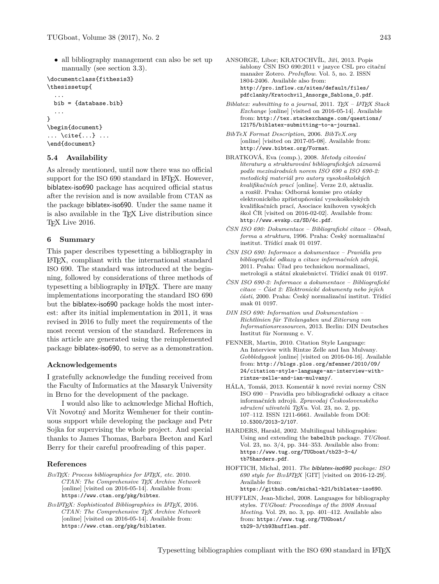• all bibliography management can also be set up manually (see section [3.3\)](#page-1-5).

```
\documentclass{fithesis3}
\thesissetup{
  ...
```

```
bib = {database.bib}
  ...
}
\begin{document}
... \cite{...} ...
\end{document}
```
#### **5.4 Availability**

As already mentioned, until now there was no official support for the ISO 690 standard in L<sup>AT</sup>EX. However, biblatex-iso690 package has acquired official status after the revision and is now available from CTAN as the package biblatex-iso690. Under the same name it is also available in the T<sub>E</sub>X Live distribution since T<sub>E</sub>X Live 2016.

#### **6 Summary**

This paper describes typesetting a bibliography in LATEX, compliant with the international standard ISO 690. The standard was introduced at the beginning, followed by considerations of three methods of typesetting a bibliography in LATEX. There are many implementations incorporating the standard ISO 690 but the biblatex-iso690 package holds the most interest: after its initial implementation in 2011, it was revised in 2016 to fully meet the requirements of the most recent version of the standard. References in this article are generated using the reimplemented package biblatex-iso690, to serve as a demonstration.

#### **Acknowledgements**

I gratefully acknowledge the funding received from the Faculty of Informatics at the Masaryk University in Brno for the development of the package.

I would also like to acknowledge Michal Hoftich, Vít Novotný and Moritz Wemheuer for their continuous support while developing the package and Petr Sojka for supervising the whole project. And special thanks to James Thomas, Barbara Beeton and Karl Berry for their careful proofreading of this paper.

#### **References**

- <span id="page-5-3"></span>*BIBTEX: Process bibliographies for LATEX, etc.* 2010. *CTAN: The Comprehensive TEX Archive Network* [online] [visited on 2016-05-14]. Available from: <https://www.ctan.org/pkg/bibtex>.
- <span id="page-5-5"></span>*BIBLATEX: Sophisticated Bibliographies in LATEX*, 2016. *CTAN: The Comprehensive TEX Archive Network* [online] [visited on 2016-05-14]. Available from: <https://www.ctan.org/pkg/biblatex>.
- <span id="page-5-14"></span>ANSORGE, Libor; KRATOCHVÍL, Jiří, 2013. Popis šablony ČSN ISO 690:2011 v jazyce CSL pro citační manažer Zotero. *ProInflow*. Vol. 5, no. 2. ISSN 1804-2406. Available also from: [http://pro.inflow.cz/sites/default/files/](!http://pro.inflow.cz/sites/default/files/!pdfclanky/Kratochvil_Ansorge_Sablona_0.pdf) [pdfclanky/Kratochvil\\_Ansorge\\_Sablona\\_0.pdf](!http://pro.inflow.cz/sites/default/files/!pdfclanky/Kratochvil_Ansorge_Sablona_0.pdf).
- <span id="page-5-6"></span>*Biblatex: submitting to a journal*, 2011. *TEX – LATEX Stack Exchange* [online] [visited on 2016-05-14]. Available from: [http://tex.stackexchange.com/questions/](http://tex.stackexchange.com/questions/12175/biblatex-submitting-to-a-journal) [12175/biblatex-submitting-to-a-journal](http://tex.stackexchange.com/questions/12175/biblatex-submitting-to-a-journal).
- <span id="page-5-7"></span>*BibTeX Format Description*, 2006. *BibTeX.org* [online] [visited on 2017-05-08]. Available from: <http://www.bibtex.org/Format>.
- <span id="page-5-11"></span>BRATKOVÁ, Eva (comp.), 2008. *Metody citování literatury a strukturování bibliografických záznamů podle mezinárodních norem ISO 690 a ISO 690-2: metodický materiál pro autory vysokoškolských kvalifikačních prací* [online]. Verze 2.0, aktualiz. a rozšíř. Praha: Odborná komise pro otázky elektronického zpřístupňování vysokoškolských kvalifikačních prací, Asociace knihoven vysokých škol ČR [visited on 2016-02-02]. Available from: <http://www.evskp.cz/SD/4c.pdf>.
- <span id="page-5-9"></span>*ČSN ISO 690: Dokumentace – Bibliografické citace – Obsah, forma a struktura*, 1996. Praha: Český normalizační institut. Třídící znak 01 0197.
- <span id="page-5-0"></span>*ČSN ISO 690: Informace a dokumentace – Pravidla pro bibliografické odkazy a citace informačních zdrojů*, 2011. Praha: Úřad pro technickou normalizaci, metrologii a státní zkušebnictví. Třídící znak 01 0197.
- <span id="page-5-10"></span>*ČSN ISO 690-2: Informace a dokumentace – Bibliografické citace – Část 2: Elektronické dokumenty nebo jejich části*, 2000. Praha: Český normalizační institut. Třídící znak 01 0197.
- <span id="page-5-1"></span>*DIN ISO 690: Information und Dokumentation – Richtlinien für Titelangaben und Zitierung von Informationsressourcen*, 2013. Berlin: DIN Deutsches Institut für Normung e. V.
- <span id="page-5-13"></span>FENNER, Martin, 2010. Citation Style Language: An Interview with Rintze Zelle and Ian Mulvany. *Gobbledygook* [online] [visited on 2016-04-16]. Available from: [http://blogs.plos.org/mfenner/2010/09/](http://blogs.plos.org/mfenner/2010/09/24/citation-style-language-an-interview-with-rintze-zelle-and-ian-mulvany/) [24/citation-style-language-an-interview-with](http://blogs.plos.org/mfenner/2010/09/24/citation-style-language-an-interview-with-rintze-zelle-and-ian-mulvany/)[rintze-zelle-and-ian-mulvany/](http://blogs.plos.org/mfenner/2010/09/24/citation-style-language-an-interview-with-rintze-zelle-and-ian-mulvany/).
- <span id="page-5-2"></span>HÁLA, Tomáš, 2013. Komentář k nové revizi normy ČSN ISO 690 – Pravidla pro bibliografické odkazy a citace informačních zdrojů. *Zpravodaj Československého sdružení uživatelů TEXu*. Vol. 23, no. 2, pp. 107–112. ISSN 1211-6661. Available from DOI: [10.5300/2013-2/107](http://dx.doi.org/10.5300/2013-2/107).
- <span id="page-5-4"></span>HARDERS, Harald, 2002. Multilingual bibliographies: Using and extending the babelbib package. *TUGboat*. Vol. 23, no. 3/4, pp. 344–353. Available also from: [https://www.tug.org/TUGboat/tb23-3-4/](https://www.tug.org/TUGboat/tb23-3-4/!tb75harders.pdf) [tb75harders.pdf](https://www.tug.org/TUGboat/tb23-3-4/!tb75harders.pdf).
- <span id="page-5-12"></span>HOFTICH, Michal, 2011. *The* biblatex-iso690 *package: ISO 690 style for BIBLAT[E](!https://github.com/michal-h21/biblatex-iso690)X* [GIT] [visited on 2016-12-29]. Available from: [https://github.com/michal-h21/biblatex-iso690](!https://github.com/michal-h21/biblatex-iso690).
- <span id="page-5-8"></span>HUFFLEN, Jean-Michel, 2008. Languages for bibliography styles. *TUGboat: Proceedings of the 2008 Annual Meeting*. Vol. 29, no. 3, pp. 401–412. Available also from: [https://www.tug.org/TUGboat/](https://www.tug.org/TUGboat/!tb29-3/tb93hufflen.pdf) [tb29-3/tb93hufflen.pdf](https://www.tug.org/TUGboat/!tb29-3/tb93hufflen.pdf).